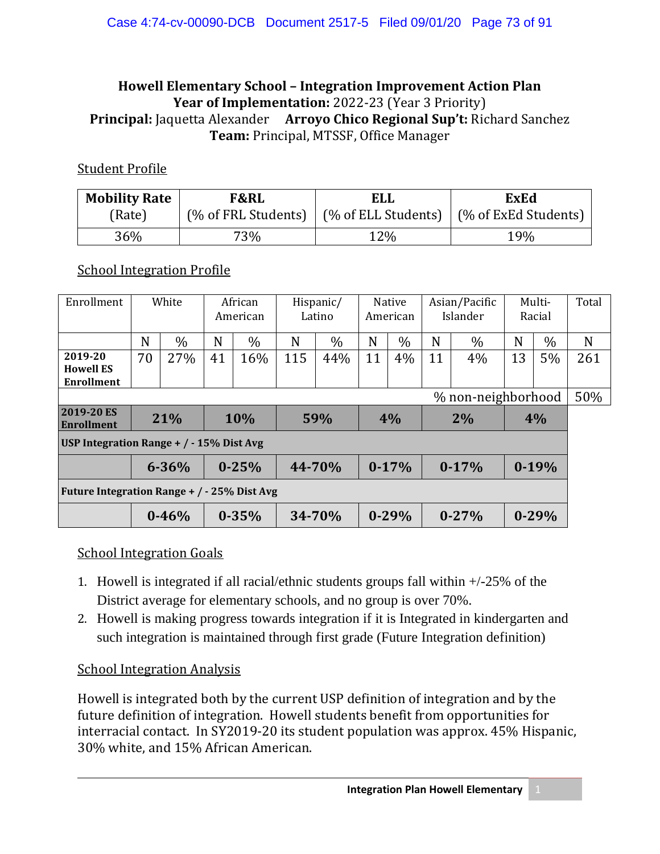### **Howell Elementary School – Integration Improvement Action Plan** Year of Implementation: 2022-23 (Year 3 Priority) **Principal:** Jaquetta Alexander **Arroyo Chico Regional Sup't:** Richard Sanchez **Team:** Principal, MTSSF, Office Manager

#### Student Profile

| <b>Mobility Rate</b> | <b>F&amp;RL</b>     | ELL                 | <b>ExEd</b>          |  |  |  |
|----------------------|---------------------|---------------------|----------------------|--|--|--|
| (Rate)               | (% of FRL Students) | (% of ELL Students) | (% of ExEd Students) |  |  |  |
| 36%                  | 73%                 | 12%                 | 19%                  |  |  |  |

### School Integration Profile

| Enrollment                                   | White |           | African<br>American |           | Hispanic/<br>Latino |               | Native<br>American |               | Asian/Pacific<br>Islander |               | Multi-<br>Racial |           | Total |
|----------------------------------------------|-------|-----------|---------------------|-----------|---------------------|---------------|--------------------|---------------|---------------------------|---------------|------------------|-----------|-------|
|                                              | N     | $\%$      | N                   | $\%$      | N                   | $\frac{0}{0}$ | N                  | $\frac{0}{0}$ | N                         | $\frac{0}{0}$ | N                | $\%$      | N     |
| 2019-20<br><b>Howell ES</b><br>Enrollment    | 70    | 27%       | 41                  | 16%       | 115                 | 44%           | 11                 | 4%            | 11                        | 4%            | 13               | 5%        | 261   |
| % non-neighborhood                           |       |           |                     |           |                     |               |                    |               |                           |               | 50%              |           |       |
| 2019-20 ES<br><b>Enrollment</b>              | 21%   |           | 10%                 |           | 59%                 |               | 4%                 |               | 2%                        |               | 4%               |           |       |
| USP Integration Range $+$ / $-$ 15% Dist Avg |       |           |                     |           |                     |               |                    |               |                           |               |                  |           |       |
|                                              |       | $6 - 36%$ |                     | $0 - 25%$ |                     | 44-70%        |                    | $0 - 17%$     |                           | $0-17%$       |                  | $0-19%$   |       |
| Future Integration Range + / - 25% Dist Avg  |       |           |                     |           |                     |               |                    |               |                           |               |                  |           |       |
|                                              |       | $0 - 46%$ |                     | $0 - 35%$ |                     | 34-70%        |                    | $0 - 29%$     |                           | $0 - 27%$     |                  | $0 - 29%$ |       |

#### School Integration Goals

- 1. Howell is integrated if all racial/ethnic students groups fall within +/-25% of the District average for elementary schools, and no group is over 70%.
- 2. Howell is making progress towards integration if it is Integrated in kindergarten and such integration is maintained through first grade (Future Integration definition)

### School Integration Analysis

Howell is integrated both by the current USP definition of integration and by the future definition of integration. Howell students benefit from opportunities for interracial contact. In SY2019-20 its student population was approx. 45% Hispanic, 30% white, and 15% African American.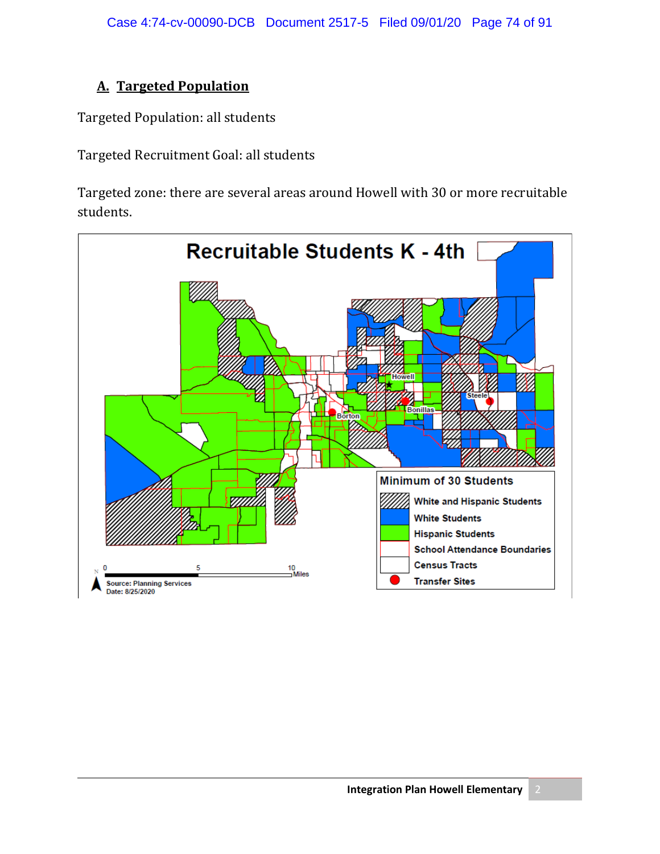### **A. Targeted Population**

Targeted Population: all students

Targeted Recruitment Goal: all students

Targeted zone: there are several areas around Howell with 30 or more recruitable students.

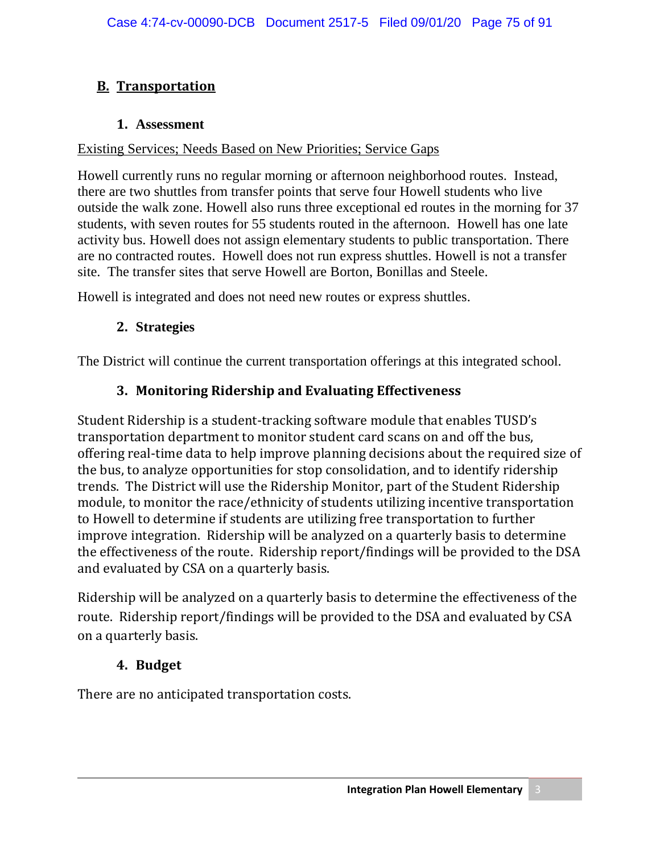# **B. Transportation**

### **1. Assessment**

#### Existing Services; Needs Based on New Priorities; Service Gaps

Howell currently runs no regular morning or afternoon neighborhood routes. Instead, there are two shuttles from transfer points that serve four Howell students who live outside the walk zone. Howell also runs three exceptional ed routes in the morning for 37 students, with seven routes for 55 students routed in the afternoon. Howell has one late activity bus. Howell does not assign elementary students to public transportation. There are no contracted routes. Howell does not run express shuttles. Howell is not a transfer site. The transfer sites that serve Howell are Borton, Bonillas and Steele.

Howell is integrated and does not need new routes or express shuttles.

### **2. Strategies**

The District will continue the current transportation offerings at this integrated school.

## **3. Monitoring Ridership and Evaluating Effectiveness**

Student Ridership is a student-tracking software module that enables TUSD's transportation department to monitor student card scans on and off the bus, offering real-time data to help improve planning decisions about the required size of the bus, to analyze opportunities for stop consolidation, and to identify ridership trends. The District will use the Ridership Monitor, part of the Student Ridership module, to monitor the race/ethnicity of students utilizing incentive transportation to Howell to determine if students are utilizing free transportation to further improve integration. Ridership will be analyzed on a quarterly basis to determine the effectiveness of the route. Ridership report/findings will be provided to the DSA and evaluated by CSA on a quarterly basis.

Ridership will be analyzed on a quarterly basis to determine the effectiveness of the route. Ridership report/findings will be provided to the DSA and evaluated by CSA on a quarterly basis.

## **4. Budget**

There are no anticipated transportation costs.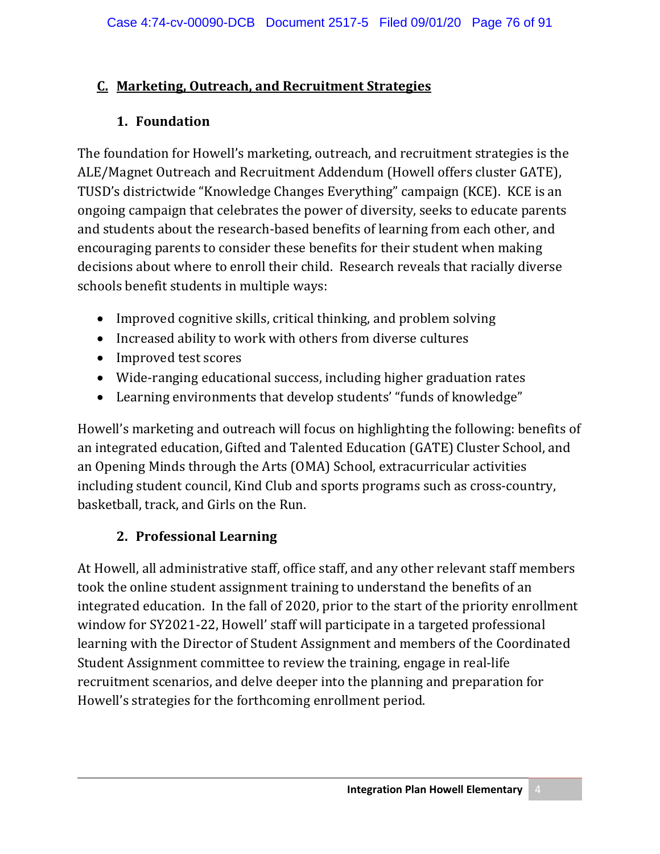## **C. Marketing, Outreach, and Recruitment Strategies**

## **1. Foundation**

The foundation for Howell's marketing, outreach, and recruitment strategies is the ALE/Magnet Outreach and Recruitment Addendum (Howell offers cluster GATE), TUSD's districtwide "Knowledge Changes Everything" campaign (KCE). KCE is an ongoing campaign that celebrates the power of diversity, seeks to educate parents and students about the research-based benefits of learning from each other, and encouraging parents to consider these benefits for their student when making decisions about where to enroll their child. Research reveals that racially diverse schools benefit students in multiple ways:

- Improved cognitive skills, critical thinking, and problem solving
- Increased ability to work with others from diverse cultures
- Improved test scores
- Wide-ranging educational success, including higher graduation rates
- Learning environments that develop students' "funds of knowledge"

Howell's marketing and outreach will focus on highlighting the following: benefits of an integrated education, Gifted and Talented Education (GATE) Cluster School, and an Opening Minds through the Arts (OMA) School, extracurricular activities including student council, Kind Club and sports programs such as cross-country, basketball, track, and Girls on the Run.

# **2. Professional Learning**

At Howell, all administrative staff, office staff, and any other relevant staff members took the online student assignment training to understand the benefits of an integrated education. In the fall of 2020, prior to the start of the priority enrollment window for SY2021-22, Howell' staff will participate in a targeted professional learning with the Director of Student Assignment and members of the Coordinated Student Assignment committee to review the training, engage in real-life recruitment scenarios, and delve deeper into the planning and preparation for Howell's strategies for the forthcoming enrollment period.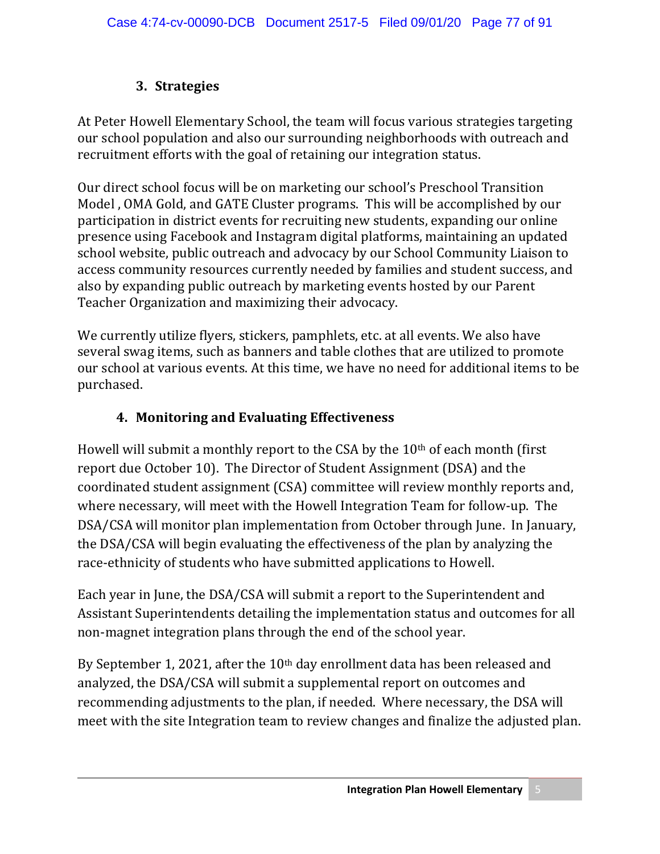## **3. Strategies**

At Peter Howell Elementary School, the team will focus various strategies targeting our school population and also our surrounding neighborhoods with outreach and recruitment efforts with the goal of retaining our integration status.

Our direct school focus will be on marketing our school's Preschool Transition Model , OMA Gold, and GATE Cluster programs. This will be accomplished by our participation in district events for recruiting new students, expanding our online presence using Facebook and Instagram digital platforms, maintaining an updated school website, public outreach and advocacy by our School Community Liaison to access community resources currently needed by families and student success, and also by expanding public outreach by marketing events hosted by our Parent Teacher Organization and maximizing their advocacy.

We currently utilize flyers, stickers, pamphlets, etc. at all events. We also have several swag items, such as banners and table clothes that are utilized to promote our school at various events. At this time, we have no need for additional items to be purchased.

# **4. Monitoring and Evaluating Effectiveness**

Howell will submit a monthly report to the CSA by the 10<sup>th</sup> of each month (first report due October 10). The Director of Student Assignment (DSA) and the coordinated student assignment (CSA) committee will review monthly reports and, where necessary, will meet with the Howell Integration Team for follow-up. The DSA/CSA will monitor plan implementation from October through June. In January, the DSA/CSA will begin evaluating the effectiveness of the plan by analyzing the race-ethnicity of students who have submitted applications to Howell.

Each year in June, the DSA/CSA will submit a report to the Superintendent and Assistant Superintendents detailing the implementation status and outcomes for all non-magnet integration plans through the end of the school year.

By September 1, 2021, after the 10<sup>th</sup> day enrollment data has been released and analyzed, the DSA/CSA will submit a supplemental report on outcomes and recommending adjustments to the plan, if needed. Where necessary, the DSA will meet with the site Integration team to review changes and finalize the adjusted plan.